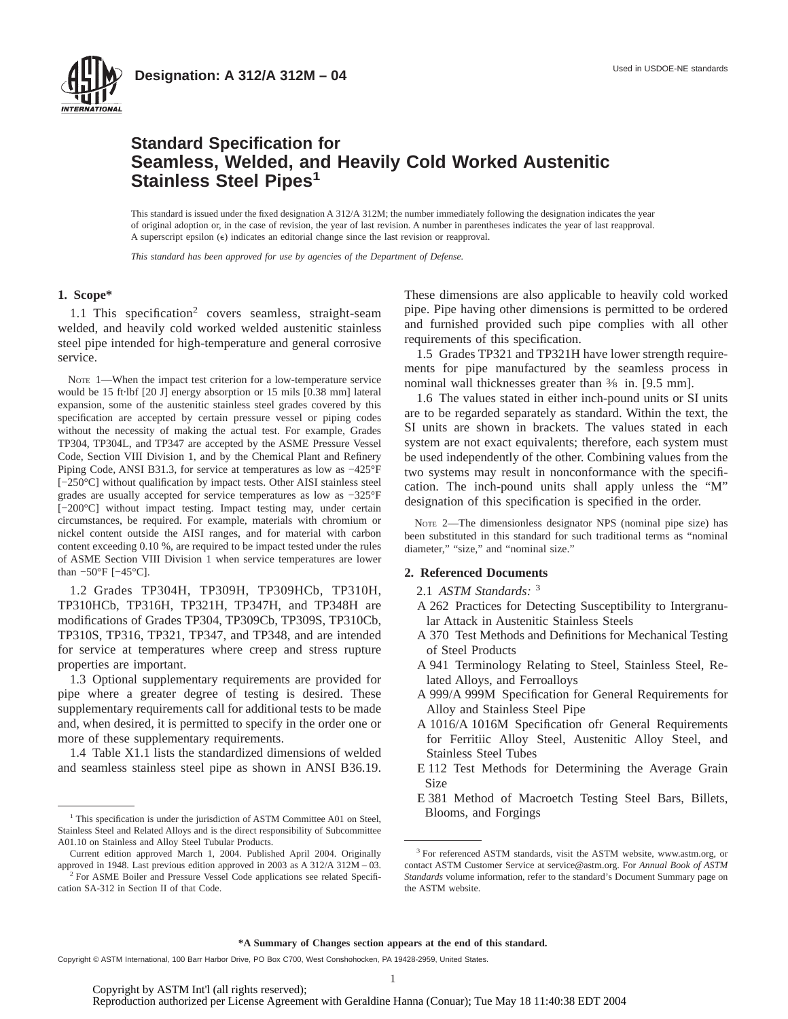



### **Standard Specification for Seamless, Welded, and Heavily Cold Worked Austenitic Stainless Steel Pipes<sup>1</sup>**

This standard is issued under the fixed designation A 312/A 312M; the number immediately following the designation indicates the year of original adoption or, in the case of revision, the year of last revision. A number in parentheses indicates the year of last reapproval. A superscript epsilon  $(\epsilon)$  indicates an editorial change since the last revision or reapproval.

*This standard has been approved for use by agencies of the Department of Defense.*

#### **1. Scope\***

1.1 This specification<sup>2</sup> covers seamless, straight-seam welded, and heavily cold worked welded austenitic stainless steel pipe intended for high-temperature and general corrosive service.

NOTE 1—When the impact test criterion for a low-temperature service would be 15 ft·lbf [20 J] energy absorption or 15 mils [0.38 mm] lateral expansion, some of the austenitic stainless steel grades covered by this specification are accepted by certain pressure vessel or piping codes without the necessity of making the actual test. For example, Grades TP304, TP304L, and TP347 are accepted by the ASME Pressure Vessel Code, Section VIII Division 1, and by the Chemical Plant and Refinery Piping Code, ANSI B31.3, for service at temperatures as low as −425°F [-250°C] without qualification by impact tests. Other AISI stainless steel grades are usually accepted for service temperatures as low as −325°F [−200°C] without impact testing. Impact testing may, under certain circumstances, be required. For example, materials with chromium or nickel content outside the AISI ranges, and for material with carbon content exceeding 0.10 %, are required to be impact tested under the rules of ASME Section VIII Division 1 when service temperatures are lower than −50°F [−45°C].

1.2 Grades TP304H, TP309H, TP309HCb, TP310H, TP310HCb, TP316H, TP321H, TP347H, and TP348H are modifications of Grades TP304, TP309Cb, TP309S, TP310Cb, TP310S, TP316, TP321, TP347, and TP348, and are intended for service at temperatures where creep and stress rupture properties are important.

1.3 Optional supplementary requirements are provided for pipe where a greater degree of testing is desired. These supplementary requirements call for additional tests to be made and, when desired, it is permitted to specify in the order one or more of these supplementary requirements.

1.4 Table X1.1 lists the standardized dimensions of welded and seamless stainless steel pipe as shown in ANSI B36.19. These dimensions are also applicable to heavily cold worked pipe. Pipe having other dimensions is permitted to be ordered and furnished provided such pipe complies with all other requirements of this specification.

1.5 Grades TP321 and TP321H have lower strength requirements for pipe manufactured by the seamless process in nominal wall thicknesses greater than  $\frac{3}{8}$  in. [9.5 mm].

1.6 The values stated in either inch-pound units or SI units are to be regarded separately as standard. Within the text, the SI units are shown in brackets. The values stated in each system are not exact equivalents; therefore, each system must be used independently of the other. Combining values from the two systems may result in nonconformance with the specification. The inch-pound units shall apply unless the "M" designation of this specification is specified in the order.

NOTE 2—The dimensionless designator NPS (nominal pipe size) has been substituted in this standard for such traditional terms as "nominal diameter," "size," and "nominal size."

#### **2. Referenced Documents**

#### 2.1 *ASTM Standards:* <sup>3</sup>

- A 262 Practices for Detecting Susceptibility to Intergranular Attack in Austenitic Stainless Steels
- A 370 Test Methods and Definitions for Mechanical Testing of Steel Products
- A 941 Terminology Relating to Steel, Stainless Steel, Related Alloys, and Ferroalloys
- A 999/A 999M Specification for General Requirements for Alloy and Stainless Steel Pipe
- A 1016/A 1016M Specification ofr General Requirements for Ferritiic Alloy Steel, Austenitic Alloy Steel, and Stainless Steel Tubes
- E 112 Test Methods for Determining the Average Grain Size
- E 381 Method of Macroetch Testing Steel Bars, Billets,

Copyright © ASTM International, 100 Barr Harbor Drive, PO Box C700, West Conshohocken, PA 19428-2959, United States.

<sup>&</sup>lt;sup>1</sup> This specification is under the jurisdiction of ASTM Committee A01 on Steel, **Blooms**, and Forgings Stainless Steel and Related Alloys and is the direct responsibility of Subcommittee A01.10 on Stainless and Alloy Steel Tubular Products.

Current edition approved March 1, 2004. Published April 2004. Originally approved in 1948. Last previous edition approved in 2003 as A 312/A 312M – 03.

<sup>&</sup>lt;sup>2</sup> For ASME Boiler and Pressure Vessel Code applications see related Specification SA-312 in Section II of that Code.

<sup>&</sup>lt;sup>3</sup> For referenced ASTM standards, visit the ASTM website, www.astm.org, or contact ASTM Customer Service at service@astm.org. For *Annual Book of ASTM Standards* volume information, refer to the standard's Document Summary page on the ASTM website.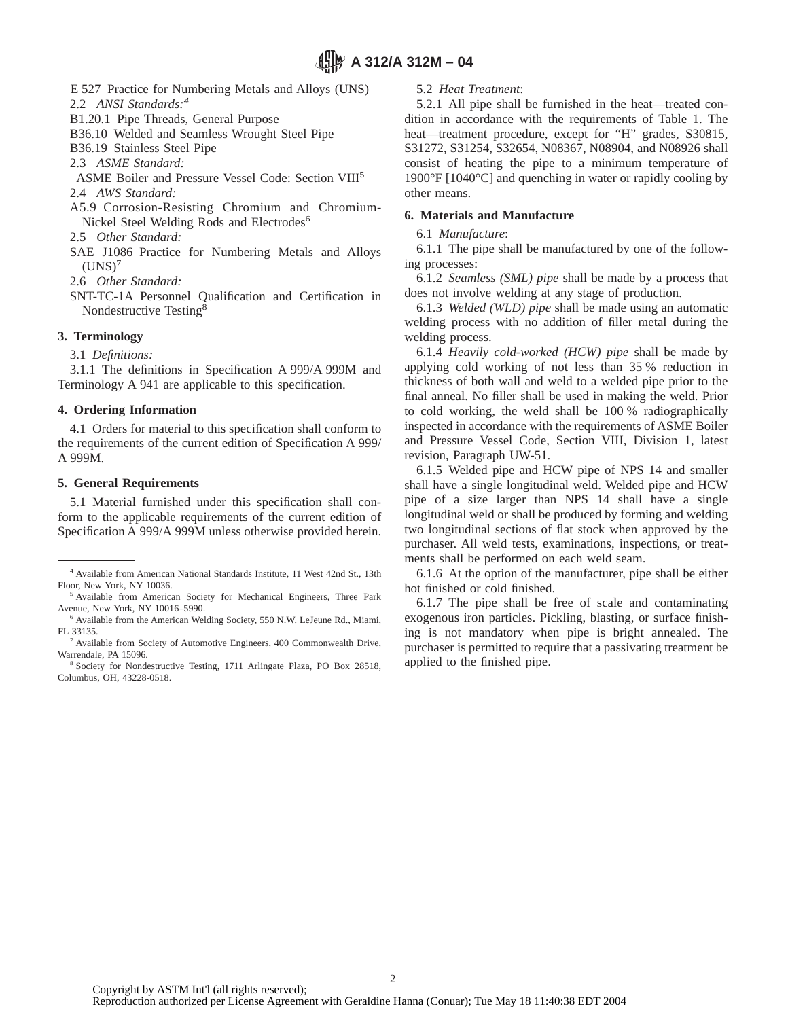E 527 Practice for Numbering Metals and Alloys (UNS)

2.2 *ANSI Standards:4*

- B1.20.1 Pipe Threads, General Purpose
- B36.10 Welded and Seamless Wrought Steel Pipe

B36.19 Stainless Steel Pipe

2.3 *ASME Standard:*

ASME Boiler and Pressure Vessel Code: Section VIII5

2.4 *AWS Standard:*

- A5.9 Corrosion-Resisting Chromium and Chromium-Nickel Steel Welding Rods and Electrodes<sup>6</sup>
- 2.5 *Other Standard:*
- SAE J1086 Practice for Numbering Metals and Alloys  $(UNS)<sup>7</sup>$

2.6 *Other Standard:*

SNT-TC-1A Personnel Qualification and Certification in Nondestructive Testing8

#### **3. Terminology**

3.1 *Definitions:*

3.1.1 The definitions in Specification A 999/A 999M and Terminology A 941 are applicable to this specification.

#### **4. Ordering Information**

4.1 Orders for material to this specification shall conform to the requirements of the current edition of Specification A 999/ A 999M.

#### **5. General Requirements**

5.1 Material furnished under this specification shall conform to the applicable requirements of the current edition of Specification A 999/A 999M unless otherwise provided herein.

#### 5.2 *Heat Treatment*:

5.2.1 All pipe shall be furnished in the heat—treated condition in accordance with the requirements of Table 1. The heat—treatment procedure, except for "H" grades, S30815, S31272, S31254, S32654, N08367, N08904, and N08926 shall consist of heating the pipe to a minimum temperature of 1900°F [1040°C] and quenching in water or rapidly cooling by other means.

#### **6. Materials and Manufacture**

#### 6.1 *Manufacture*:

6.1.1 The pipe shall be manufactured by one of the following processes:

6.1.2 *Seamless (SML) pipe* shall be made by a process that does not involve welding at any stage of production.

6.1.3 *Welded (WLD) pipe* shall be made using an automatic welding process with no addition of filler metal during the welding process.

6.1.4 *Heavily cold-worked (HCW) pipe* shall be made by applying cold working of not less than 35 % reduction in thickness of both wall and weld to a welded pipe prior to the final anneal. No filler shall be used in making the weld. Prior to cold working, the weld shall be 100 % radiographically inspected in accordance with the requirements of ASME Boiler and Pressure Vessel Code, Section VIII, Division 1, latest revision, Paragraph UW-51.

6.1.5 Welded pipe and HCW pipe of NPS 14 and smaller shall have a single longitudinal weld. Welded pipe and HCW pipe of a size larger than NPS 14 shall have a single longitudinal weld or shall be produced by forming and welding two longitudinal sections of flat stock when approved by the purchaser. All weld tests, examinations, inspections, or treatments shall be performed on each weld seam.

6.1.6 At the option of the manufacturer, pipe shall be either hot finished or cold finished.

6.1.7 The pipe shall be free of scale and contaminating exogenous iron particles. Pickling, blasting, or surface finishing is not mandatory when pipe is bright annealed. The purchaser is permitted to require that a passivating treatment be applied to the finished pipe.

<sup>4</sup> Available from American National Standards Institute, 11 West 42nd St., 13th Floor, New York, NY 10036.

<sup>&</sup>lt;sup>5</sup> Available from American Society for Mechanical Engineers, Three Park Avenue, New York, NY 10016–5990.

<sup>&</sup>lt;sup>6</sup> Available from the American Welding Society, 550 N.W. LeJeune Rd., Miami, FL 33135.

<sup>7</sup> Available from Society of Automotive Engineers, 400 Commonwealth Drive, Warrendale, PA 15096.

<sup>8</sup> Society for Nondestructive Testing, 1711 Arlingate Plaza, PO Box 28518, Columbus, OH, 43228-0518.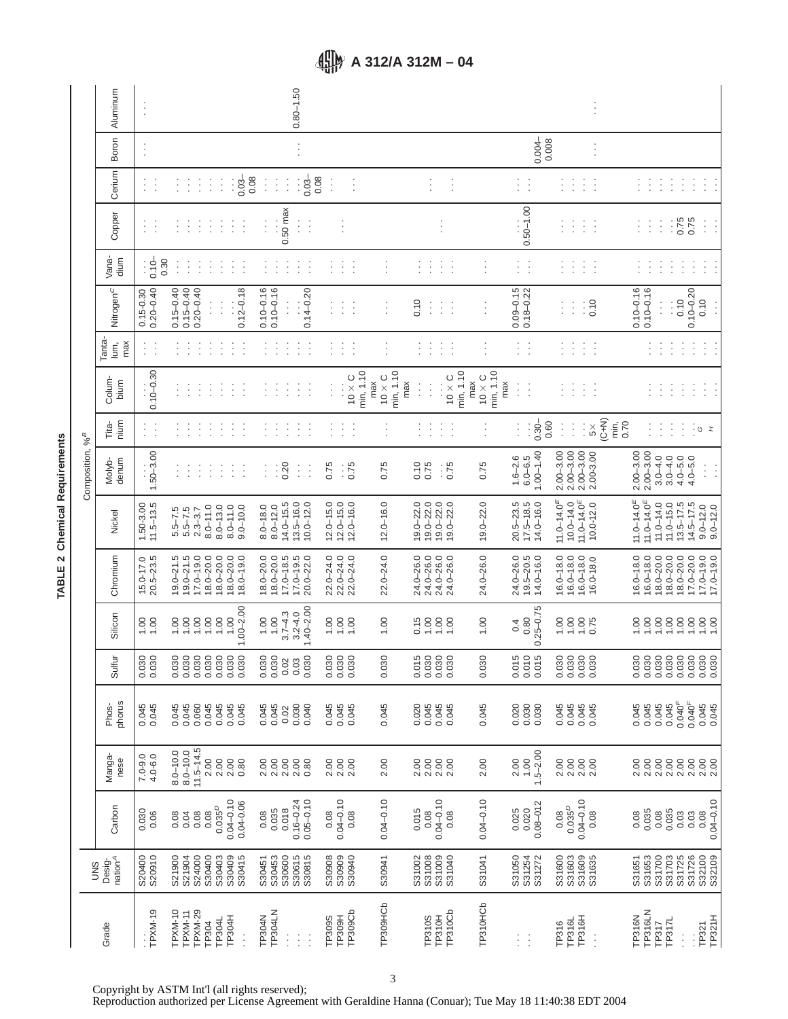|                             | Aluminum                      | Ť                              |                                                                                                                     | $0.80 - 1.50$                                                                     |                                                 |                                  |                                                                    |                                   |                                             |                                                                                             |                                                                                                                                         |
|-----------------------------|-------------------------------|--------------------------------|---------------------------------------------------------------------------------------------------------------------|-----------------------------------------------------------------------------------|-------------------------------------------------|----------------------------------|--------------------------------------------------------------------|-----------------------------------|---------------------------------------------|---------------------------------------------------------------------------------------------|-----------------------------------------------------------------------------------------------------------------------------------------|
|                             | Boron                         | ÷                              |                                                                                                                     | $\vdots$                                                                          |                                                 |                                  |                                                                    |                                   | $0.004 -$<br>0.008                          | $\vdots$                                                                                    |                                                                                                                                         |
|                             | Cerium                        | ÷<br>÷                         | ÷<br>÷<br>÷<br>0.03<br>İ<br>$\vdots$<br>÷                                                                           | 0.08<br>0.08<br>$0.03 -$<br>Ì<br>÷<br>Ì<br>İ                                      | Ì<br>$\vdots$                                   |                                  | $\vdots$<br>ŧ                                                      |                                   | $\vdots$<br>$\ddot{\cdot}$                  | Ì<br>÷<br>÷<br>t.                                                                           | $\vdots$<br>÷<br>÷<br>÷                                                                                                                 |
|                             | Copper                        | ÷<br>t                         | ÷<br>÷<br>÷<br>÷<br>÷<br>÷<br>l,                                                                                    | $0.50$ max<br>$\vdots$<br>$\vdots$<br>Ì<br>t                                      |                                                 |                                  |                                                                    |                                   | $0.50 - 1.00$                               | ŧ<br>÷<br>$\ddot{\cdot}$                                                                    | $0.75$<br>0.75<br>$\vdots$<br>Ì<br>÷<br>÷<br>ċ                                                                                          |
|                             | Vana-<br>dium                 | $: 0.10 -$<br>0.30             | Ì<br>Î<br>$\vdots$<br>÷<br>ŧ<br>$\vdots$<br>Ì                                                                       | Ì<br>$\vdots$<br>$\vdots$<br>$\vdots$<br>t                                        | ÷.<br>$\vdots$<br>Ì                             | $\vdots$                         | ÷<br>Ì.<br>Ì<br>$\vdots$                                           | $\vdots$                          | $\vdots$<br>÷                               | ÷,<br>ļ.<br>ł<br>İ                                                                          | $\vdots$<br>$\vdots$<br>$\vdots$<br>Į.<br>÷<br>ĵ.                                                                                       |
|                             | Nitrogen <sup>C</sup>         | $0.20 - 0.40$<br>$0.15 - 0.30$ | $0.15 - 0.40$<br>$0.15 - 0.40$<br>$0.20 - 0.40$<br>$0.12 - 0.18$<br>$\vdots$<br>İ                                   | $0.10 - 0.16$<br>$0.10 - 0.16$<br>$0.14 - 0.20$                                   | İ,<br>ŧ<br>ĵ.                                   | $\cdot$                          | 0.10<br>÷<br>÷.<br>÷                                               |                                   | $0.09 - 0.15$<br>$0.18 - 0.22$              | $\frac{1}{2}$<br>:<br>ţ                                                                     | $0.10 - 0.16$<br>$0.10 - 0.16$<br>$0.10 - 0.20$<br>0.10<br>0.10<br>Ì.<br>$\vdots$<br>$\vdots$                                           |
|                             | Tanta-<br>max<br>Ιuπ,         | $\vdots$<br>$\vdots$           | ¢<br>Í<br>ţ<br>$\vdots$<br>$\vdots$<br>$\vdots$<br>÷                                                                | ÷<br>$\vdots$<br>Ì<br>$\vdots$<br>$\cdot$                                         | $\vdots$<br>÷<br>$\vdots$                       | $\vdots$                         | $\vdots$<br>÷.<br>÷<br>$\vdots$                                    | İ,                                | $\vdots$<br>$\vdots$                        | $\vdots$<br>Ì<br>÷<br>Î                                                                     | $\vdots$<br>÷<br>$\vdots$<br>Í<br>¢<br>Ì<br>Ĵ,                                                                                          |
| Composition, % <sup>B</sup> | Colum-<br>bium                | $0.10 - 0.30$                  | ŧ<br>$\ddot{\cdot}$<br>$\cdot$<br>$\cdot$<br>$\ddot{\cdot}$<br>$\cdot$<br>$\cdot$                                   | ÷<br>÷<br>Ċ<br>Ċ<br>$\cdot$                                                       | min, 1.10<br>$0\times 0$<br>$\vdots$<br>ţ       | min, 1.10<br>$0 \times C$<br>max | min, 1.10<br>$0\times0$<br>max<br>$\vdots$<br>$\vdots$<br>$\vdots$ | min, 1.10<br>$10 \times C$<br>max | max<br>$\vdots$<br>$\vdots$                 | ÷<br>Î<br>÷<br>t.                                                                           | ÷<br>÷<br>Ì<br>÷<br>÷<br>÷<br>$\ddot{\phantom{0}}$                                                                                      |
|                             | nium<br>È                     | $\vdots$<br>$\vdots$           | İ<br>Ĵ<br>÷<br>Î<br>Ì<br>$\vdots$<br>÷                                                                              | Í<br>$\vdots$<br>÷<br>$\vdots$                                                    | ÷<br>İ,<br>÷,                                   |                                  | $\vdots$<br>÷<br>t<br>$\blacksquare$                               |                                   | $0.30 -$<br>0.60<br>$\vdots$                | $(0+1)$<br>min,<br>$\vdots$<br>$\vdots$<br>$5\times$                                        | 0.70<br>$\vdots$<br>$\vdots$<br>÷<br>ં ૭<br>$\mathbf{r}$                                                                                |
|                             | denum<br>Molyb-               | $1.50 - 3.00$                  | ÷<br>÷<br>÷<br>÷<br>÷<br>$\vdots$<br>÷                                                                              | 0.20<br>$\vdots$<br>$\vdots$<br>÷<br>÷                                            | 0.75<br>0.75                                    | 0.75                             | 0.10<br>0.75<br>0.75                                               | 0.75                              | $1.00 - 1.40$<br>$1.6 - 2.6$<br>$6.0 - 6.5$ | $2.00 - 3.00$<br>$2.00 - 3.00$<br>$2.00 - 3.00$<br>2.00-3.00                                | $2.00 - 3.00$<br>$2.00 - 3.00$<br>$3.0 - 4.0$<br>$3.0 - 4.0$<br>$4.0 - 5.0$<br>$4.0 - 5.0$<br>$\vdots$<br>$\vdots$                      |
|                             | Nickel                        | $11.5 - 13.5$<br>1.50-3.00     | $8.0 - 11.0$<br>$8.0 - 13.0$<br>$8.0 - 11.0$<br>$9.0 - 10.0$<br>$5.5 - 7.5$<br>$5.5 - 7.5$<br>$2.3 - 3.7$           | $14.0 - 15.5$<br>$13.5 - 16.0$<br>$10.0 - 12.0$<br>$8.0 - 12.0$<br>$8.0 - 18.0$   | $12.0 - 15.0$<br>$12.0 - 15.0$<br>$12.0 - 16.0$ | $12.0 - 16.0$                    | $19.0 - 22.0$<br>$19.0 - 22.0$<br>$19.0 - 22.0$<br>$19.0 - 22.0$   | $19.0 - 22.0$                     | $20.5 - 23.5$<br>17.5-18.5<br>$14.0 - 16.0$ | $11.0 - 14.0 =$<br>11.0-14.0 $^{E}$<br>$10.0 - 14.0$<br>$10.0 - 12.0$                       | $11.0 - 14.0 =$<br>11.0-14.0 $^{E}$<br>$11.0 - 14.0$<br>$11.0 - 15.0$<br>$13.5 - 17.5$<br>$14.5 - 17.5$<br>$9.0 - 12.0$<br>$9.0 - 12.0$ |
|                             | Chromium                      | $20.5 - 23.5$<br>15.0-17.0     | $19.0 - 21.5$<br>$18.0 - 20.0$<br>$18.0 - 20.0$<br>$19.0 - 21.5$<br>$17.0 - 19.0$<br>$18.0 - 20.0$<br>$18.0 - 19.0$ | $18.0 - 20.0$<br>$17.0 - 18.5$<br>$18.0 - 20.0$<br>$17.0 - 19.5$<br>$20.0 - 22.0$ | $22.0 - 24.0$<br>$22.0 - 24.0$<br>$22.0 - 24.0$ | $22.0 - 24.0$                    | 24.0-26.0<br>24.0-26.0<br>24.0-26.0<br>24.0-26.0                   | 24.0-26.0                         | $19.5 - 20.5$<br>$14.0 - 16.0$<br>24.0-26.0 | $16.0 - 18.0$<br>$16.0 - 18.0$<br>$16.0 - 18.0$<br>$16.0 - 18.0$                            | $16.0 - 18.0$<br>$18.0 - 20.0$<br>$18.0 - 20.0$<br>$17.0 - 20.0$<br>$17.0 - 19.0$<br>$16.0 - 18.0$<br>$18.0 - 20.0$<br>$17.0 - 19.0$    |
|                             | Silicon                       | 1.00<br>1.00                   | $1.00 - 2.00$<br>1.00<br>1.00<br>1.00<br>1.00<br>1.00                                                               | $1.40 - 2.00$<br>$3.7 - 4.3$<br>$3.2 - 4.0$<br>1.00<br>1.00                       | 1.00<br>1.00                                    | 1.00                             | 0.15<br>1.00<br>1.00<br>1.00                                       | 1.00                              | $0.25 - 0.75$<br>0.80<br>0.4                | 00.1<br>1.00<br>$1.00$<br>0.75                                                              | 1.00<br>1.00<br>688<br>1.00<br>1.00                                                                                                     |
|                             | Sulfur                        | 0.030                          | $0.030$<br>$0.030$<br>0.030<br>0.030<br>0.030<br>0.030                                                              | 0.030<br>0.030<br>0.02<br>0.03                                                    | $0.030$<br>$0.030$<br>$0.030$                   | 0.030                            | 0.015<br>$0.030$<br>$0.030$                                        | 0.030                             | $0.015$<br>$0.010$<br>$0.015$               | $\begin{smallmatrix} 30 & 0 & 0 & 0 \\ 0 & 0 & 0 & 0 \\ 0 & 0 & 0 & 0 \\ \end{smallmatrix}$ | $\begin{array}{l} 8888888880 \\ 0 \\ 0 \\ 0 \\ 0 \\ \end{array}$                                                                        |
|                             | phorus<br>Phos-               | 0.045<br>0.045                 | 0.045<br>0.045<br>0.060<br>0.045<br>0.045<br>0.045<br>0.045                                                         | 0.045<br>0.045<br>0.030<br>0.040<br>0.02                                          | 0.045<br>0.045<br>0.045                         | 0.045                            | 0.045<br>0.020<br>0.045<br>0.045                                   | 0.045                             | 0.020<br>0.030<br>0.030                     | 0.045<br>0.045<br>0.045<br>0.045                                                            | 0.040 <sup>F</sup><br>0.040 <sup>F</sup><br>0.045<br>0.045<br>0.045<br>0.045<br>0.045<br>0.045                                          |
|                             | Manga-<br>nese                | $7.0 - 9.0$<br>4.0-6.0         | $11.5 - 14.5$<br>$8.0 - 10.0$<br>$8.0 - 10.0$<br>2.00<br>$2.00$<br>$2.00$<br>0.80                                   | 2.00<br>2.00<br>2.00<br>0.80<br>2.00                                              |                                                 | 2.00                             | 888<br>288<br>2.00                                                 | 2.00                              | $.5 - 2.00$<br>1.00<br>2.00                 | 2.00                                                                                        | 2.00<br>2.00<br>00<br>000<br>000<br>000<br>2.00<br>$2.00$<br>$2.00$                                                                     |
|                             | Carbon                        | 0.030<br>0.06                  | $0.04 - 0.10$<br>$0.04 - 0.06$<br>0.035 <sup>D</sup><br>0.08<br>0.08<br>0.08<br>0.04                                | $0.05 - 0.10$<br>$0.16 - 0.24$<br>0.018<br>0.035<br>0.08                          | $0.08$<br>$0.04 - 0.10$<br>0.08                 | $0.04 - 0.10$                    | $0.04 - 0.10$<br>$0.08$<br>0.015<br>0.08                           | $0.04 - 0.10$                     | $0.08 - 012$<br>0.025<br>0.020              | $0.04 - 0.10$<br>$0.08$<br>$0.035^{D}$<br>0.08                                              | $0.04 - 0.10$<br>0.035<br>$0.035$<br>$0.035$<br>$0.03$<br>0.08<br>0.08                                                                  |
| <b>SND</b>                  | nation <sup>A</sup><br>Desig- | S20910<br>S20400               | S21904<br>S24000<br>S30400<br>S30403<br>S30409<br>S30415<br>S21900                                                  | S30615<br>S30453<br>S30600<br>S30815<br>S30451                                    | S30909<br>S30940<br>S30908                      | S30941                           | S31008<br>S31009<br>S31040<br>S31002                               | S31041                            | S31254<br>S31050<br>S31272                  | S31603<br>S31609<br>S31635<br>S31600                                                        | S32100<br>S32109<br>S31653<br>S31700<br>S31703<br>S31725<br>S31726<br>S31651                                                            |
|                             | Grade                         | TPXM-19                        | TPXM-10<br>TPXM-29<br>TPXM-11<br>TP304H<br>TP304L<br>TP304<br>$\vdots$                                              | <b>TP304LN</b><br>TP304N<br>$\vdots$<br>$\vdots$<br>$\vdots$                      | TP309Cb<br><b>TP309S</b><br><b>TP309H</b>       | TP309HCb                         | TP310Cb<br><b>TP310S</b><br><b>TP310H</b>                          | TP310HCb                          | Ħ                                           | TP316L<br>TP316H<br>TP316<br>$\vdots$                                                       | TP316LN<br>TP316N<br>TP321H<br>TP317L<br>TP317<br>TP321<br>Ì                                                                            |

# TABLE 2 Chemical Requirements **TABLE 2 Chemical Requirements**

Copyright by ASTM Int'l (all rights reserved);

Reproduction authorized per License Agreement with Geraldine Hanna (Conuar); Tue May 18 11:40:38 EDT 2004

## **A 312/A 312M – 04**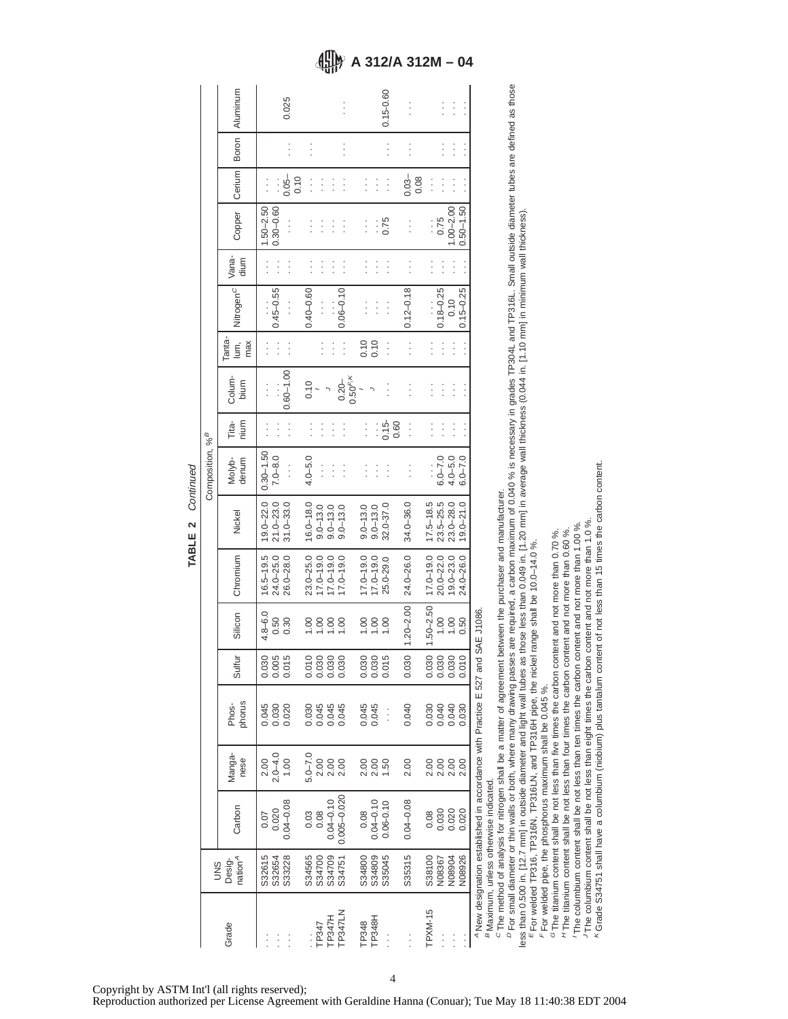|                             | Boron   Aluminum              |                         |                         | 0.025         |      |                                 |                 |                         |                 |              |                         |               | 0.15-0.60     |      | $\vdots$      |      |               | $\vdots$         | $\vdots$                        |                 |                                                                                                                                     |
|-----------------------------|-------------------------------|-------------------------|-------------------------|---------------|------|---------------------------------|-----------------|-------------------------|-----------------|--------------|-------------------------|---------------|---------------|------|---------------|------|---------------|------------------|---------------------------------|-----------------|-------------------------------------------------------------------------------------------------------------------------------------|
|                             |                               |                         |                         |               |      |                                 |                 |                         | $\vdots$        |              |                         |               |               |      |               |      |               |                  | $\vdots$                        |                 |                                                                                                                                     |
|                             | Cerium                        |                         |                         | $0.05 -$      | 0.10 | $\vdots$                        | $\vdots$        | $\vdots$                | $\vdots$        |              | $\vdots$                | $\vdots$      | $\vdots$      |      | $0.03 -$      | 0.08 | $\vdots$      | $\vdots$         |                                 |                 |                                                                                                                                     |
|                             | Copper                        | $1.50 - 2.50$           | $0.30 - 0.60$           | $\vdots$      |      | $\vdots$                        | $\vdots$        | $\vdots$                | $\vdots$        |              | $\vdots$                | $\vdots$      | 0.75          |      |               |      | $\vdots$      | 0.75             | $1.00 - 2.00$                   | $0.50 - 1.50$   |                                                                                                                                     |
|                             | Vana-<br>dium                 |                         |                         | $\vdots$      |      |                                 | $\vdots$        | $\vdots$                | $\vdots$        |              | $\vdots$                | $\vdots$      | $\vdots$      |      | $\vdots$      |      |               |                  |                                 |                 |                                                                                                                                     |
|                             | Nitrogen <sup>c</sup>         |                         | $0.45 - 0.55$           | $\vdots$      |      | $0.40 - 0.60$                   | $\vdots$        |                         | $0.06 - 0.10$   |              | $\vdots$                | Ì             | $\vdots$      |      | $0.12 - 0.18$ |      |               | $0.18 - 0.25$    | 0.10                            | $0.15 - 0.25$   |                                                                                                                                     |
|                             | Tanta-<br>lum,<br>max         | $\vdots$                |                         | $\vdots$      |      |                                 |                 | $\vdots$                | $\vdots$        |              | 0.10                    | 0.10          | $\vdots$      |      |               |      |               |                  | $\vdots$                        |                 |                                                                                                                                     |
|                             | Colum-<br>bium                |                         |                         | $0.60 - 1.00$ |      | 0.10                            |                 |                         | $0.20 -$        | $0.50^{F,K}$ |                         |               |               |      |               |      |               |                  |                                 |                 |                                                                                                                                     |
|                             | <u>ra</u><br>nium             | $\vdots$                |                         | $\vdots$      |      | $\vdots$                        | Ì               | $\vdots$                | $\vdots$        |              | $\vdots$                | Ì             | $0.15 -$      | 0.60 | $\vdots$      |      | $\vdots$      | $\vdots$         | $\vdots$                        |                 |                                                                                                                                     |
| Composition, % <sup>B</sup> | denum<br>Molyb-               |                         | $7.0 - 8.0$             | $\vdots$      |      | $4.0 - 5.0$                     | $\vdots$        | $\vdots$                | $\vdots$        |              | $\vdots$                | İ             | $\vdots$      |      |               |      |               | $6.0 - 7.0$      | $4.0 - 5.0$                     | $6.0 - 7.0$     |                                                                                                                                     |
|                             | Nickel                        | $19.0 - 22.0$ 0.30-1.50 | $21.0 - 23.0$           | $31.0 - 33.0$ |      | $16.0 - 18.0$                   | $9.0 - 13.0$    | $9.0 - 13.0$            | $9.0 - 13.0$    |              | $9.0 - 13.0$            | $9.0 - 13.0$  | 32.0-37.0     |      | $34.0 - 36.0$ |      | $17.5 - 18.5$ | $23.5 - 25.5$    | $23.0 - 28.0$                   | $19.0 - 21.0$   |                                                                                                                                     |
|                             | Chromium                      | $16.5 - 19.5$           | 24.0-25.0               | 26.0-28.0     |      | $23.0 - 25.0$                   | $17.0 - 19.0$   | $17.0 - 19.0$           | $17.0 - 19.0$   |              | $17.0 - 19.0$           | $17.0 - 19.0$ | 25.0-29.0     |      | 24.0-26.0     |      | $17.0 - 19.0$ | $20.0 - 22.0$    | $19.0 - 23.0$                   | 24.0-26.0       |                                                                                                                                     |
|                             | Silicon                       | $4.8 - 6.0$             | 0.50                    | 0.30          |      | 00.1                            | $rac{8}{100}$   |                         | 00.1            |              | 00.1                    | 0.00          | 00.1          |      | $1.20 - 2.00$ |      | $1.50 - 2.50$ | 1.00             | 1.00                            | 0.50            |                                                                                                                                     |
|                             | Sulfur                        |                         | 0.030<br>0.005<br>0.015 |               |      |                                 |                 |                         |                 |              | 0.030<br>0.030          |               | 0.015         |      | 0.030         |      |               |                  |                                 | $\circ$<br>0.01 |                                                                                                                                     |
|                             | phorus<br>Phos-               | 0.045                   | 0.030                   | 0.020         |      |                                 |                 | 0.045<br>0.045<br>0.045 |                 |              | 0.045<br>0.045          |               | $\vdots$      |      | 0.040         |      |               |                  | 0.030<br>0.040<br>0.000<br>0.00 |                 |                                                                                                                                     |
|                             | Manga-<br>nese                | $2.00$<br>$2.0 - 4.0$   |                         | 1.00          |      | $5.0 - 7.0$<br>$2.00$<br>$2.00$ |                 |                         | 2.00            |              | $2.00$<br>$2.00$        |               | 1.50          |      | 2.00          |      |               |                  | 0<br>0<br>0<br>0<br>0<br>0<br>0 | 2.00            |                                                                                                                                     |
|                             | Carbon                        | 0.07                    | 0.020                   | $0.04 - 0.08$ |      | 0.08<br>0.08                    |                 | $0.04 - 0.10$           | $0.005 - 0.020$ |              | $0.08$<br>$0.04 - 0.10$ |               | $0.06 - 0.10$ |      | $0.04 - 0.08$ |      | 0.08          |                  | 0.030<br>0.020                  | 0.020           | A New designation established in accordance with Practice E 527 and SAE J1086.<br><sup>B</sup> Maximum, unless otherwise indicated. |
| SND                         | nation <sup>A</sup><br>Desig- | S32615                  | S32654                  | S33228        |      | S34565                          | S34700          | S34709                  | S34751          |              | S34800                  | S34809        | S35045        |      | S35315        |      |               | S38100<br>N08367 | N08904                          | N08926          |                                                                                                                                     |
|                             | Grade                         |                         |                         |               |      |                                 | ТРЗ47<br>ТРЗ47Н |                         | <b>TP347LN</b>  |              | TP348<br>TP348H         |               |               |      | $\vdots$      |      | TPXM-15       |                  |                                 |                 |                                                                                                                                     |

TABLE 2 Continued **TABLE 2** Continued

Copyright by ASTM Int'l (all rights reserved);

Reproduction authorized per License Agreement with Geraldine Hanna (Conuar); Tue May 18 11:40:38 EDT 2004

4

 $c$  The method of analysis for nitrogen shall be a matter of agreement between the purchaser and manufacturer.

<sup>c</sup> The method of analysis for nitrogen shall be a matter of agreement between the purchaser and manufacturer.<br><sup>D</sup> For small diameter or thin walls or both, where many drawing passes are required, a carbon maximum of 0.040

<sup>D</sup> For small diameter or thin walls or both, where many drawing passes are required, a carbon maximum of 0.040 % is necessary in grades TP304L and TP316L. Small outside diameter tubes are defined as those

less than 0.500 in. [12.7 mm] in outside diameter and light wall tubes as those less than 0.049 in. [1.20 mm] in average wall thickness (0.044 in. [1.10 mm] in minimum wall thickness).<br>『For welded TP316, TP316N, TP316LN, a less than 0.500 in. [12.7 mm] in outside diameter and light wall tubes as those less than 0.049 in. [1,20 mm] in average wall thickness (0.044 in. [1,10 mm] in minimum wall thickness).<br><sup>E</sup>For welded pipe, the phosphorus ma

For welded pipe, the phosphorus maximum shall be 0.045 %.

JK

 $^G$  The titanium content shall be not less than five times the carbon content and not more than 0.70%.<br><sup>H</sup> The titanium content shall be not less than four times the carbon content and not more than 0.60%. <sup>6</sup> The titanium content shall be not less than five times the carbon content and not more than 0.70 %.<br><sup>H</sup> The titanium content shall be not less than four times the carbon content and not more than 0.60 %.<br><sup>1</sup> The columb The columbium content shall be not less than eight times the carbon content and not more than 1.0 %.

Grade S34751 shall have a columbium (niobium) plus tantalum content of not less than 15 times the carbon content.

**A 312/A 312M – 04**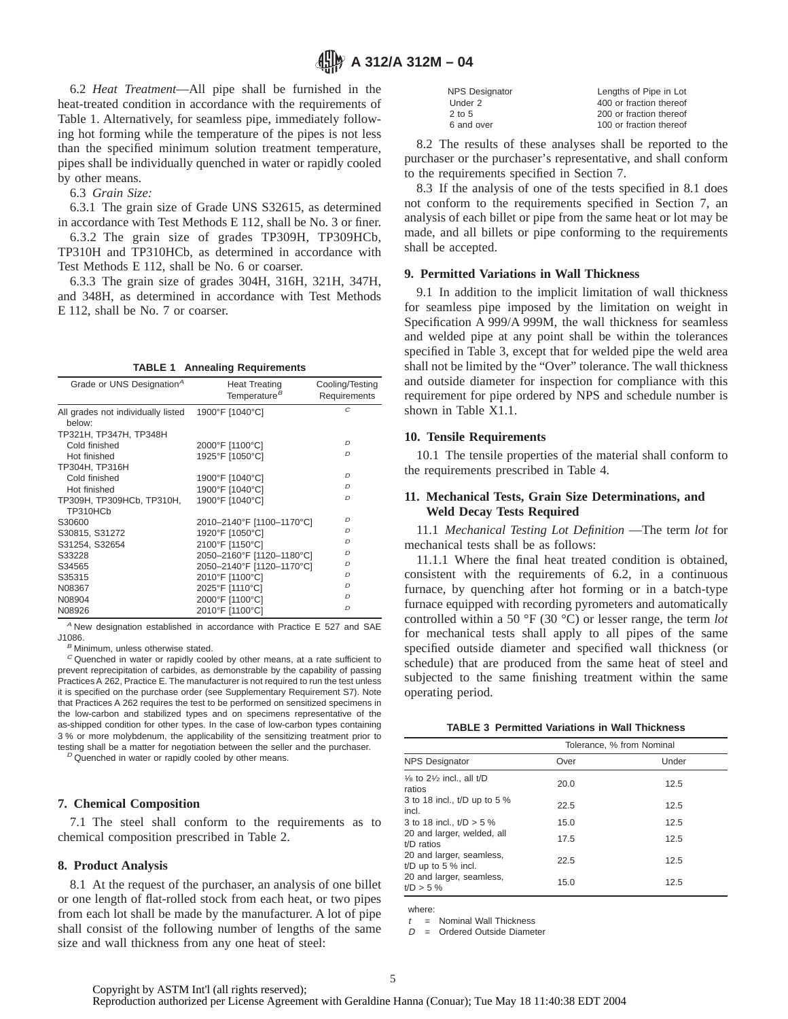## **A 312/A 312M - 04**

6.2 *Heat Treatment*—All pipe shall be furnished in the heat-treated condition in accordance with the requirements of Table 1. Alternatively, for seamless pipe, immediately following hot forming while the temperature of the pipes is not less than the specified minimum solution treatment temperature, pipes shall be individually quenched in water or rapidly cooled by other means.

6.3 *Grain Size:*

6.3.1 The grain size of Grade UNS S32615, as determined in accordance with Test Methods E 112, shall be No. 3 or finer.

6.3.2 The grain size of grades TP309H, TP309HCb, TP310H and TP310HCb, as determined in accordance with Test Methods E 112, shall be No. 6 or coarser.

6.3.3 The grain size of grades 304H, 316H, 321H, 347H, and 348H, as determined in accordance with Test Methods E 112, shall be No. 7 or coarser.

**TABLE 1 Annealing Requirements**

| Grade or UNS Designation <sup>A</sup>        | <b>Heat Treating</b><br>Temperature <sup>B</sup> | Cooling/Testing<br>Requirements |
|----------------------------------------------|--------------------------------------------------|---------------------------------|
| All grades not individually listed<br>below: | 1900°F [1040°C]                                  | Ċ                               |
| TP321H, TP347H, TP348H                       |                                                  |                                 |
| Cold finished                                | 2000°F [1100°C]                                  | $\mathcal{D}$                   |
| Hot finished                                 | 1925°F [1050°C]                                  | $\mathcal{D}$                   |
| TP304H, TP316H                               |                                                  |                                 |
| Cold finished                                | 1900°F [1040°C]                                  | $\mathcal{D}$                   |
| Hot finished                                 | 1900°F [1040°C]                                  | D                               |
| TP309H, TP309HCb, TP310H,<br>TP310HCb        | 1900°F [1040°C]                                  | $\mathcal{D}$                   |
| S30600                                       | 2010-2140°F [1100-1170°C]                        | $\mathcal{D}$                   |
| S30815, S31272                               | 1920°F [1050°C]                                  | D                               |
| S31254, S32654                               | 2100°F [1150°C]                                  | $\mathcal{D}$                   |
| S33228                                       | 2050-2160°F [1120-1180°C]                        | $\mathcal{D}$                   |
| S34565                                       | 2050-2140°F [1120-1170°C]                        | $\mathcal{D}$                   |
| S35315                                       | 2010°F [1100°C]                                  | $\mathcal{D}$                   |
| N08367                                       | 2025°F [1110°C]                                  | D                               |
| N08904                                       | 2000°F [1100°C]                                  | $\mathcal{D}$                   |
| N08926                                       | 2010°F [1100°C]                                  | $\mathcal{D}$                   |

 $A$  New designation established in accordance with Practice E 527 and SAE J1086.

 $B$  Minimum, unless otherwise stated.

 $C$  Quenched in water or rapidly cooled by other means, at a rate sufficient to prevent reprecipitation of carbides, as demonstrable by the capability of passing Practices A 262, Practice E. The manufacturer is not required to run the test unless it is specified on the purchase order (see Supplementary Requirement S7). Note that Practices A 262 requires the test to be performed on sensitized specimens in the low-carbon and stabilized types and on specimens representative of the as-shipped condition for other types. In the case of low-carbon types containing 3 % or more molybdenum, the applicability of the sensitizing treatment prior to testing shall be a matter for negotiation between the seller and the purchaser.

 $D$  Quenched in water or rapidly cooled by other means.

#### **7. Chemical Composition**

7.1 The steel shall conform to the requirements as to chemical composition prescribed in Table 2.

#### **8. Product Analysis**

8.1 At the request of the purchaser, an analysis of one billet or one length of flat-rolled stock from each heat, or two pipes from each lot shall be made by the manufacturer. A lot of pipe shall consist of the following number of lengths of the same size and wall thickness from any one heat of steel:

| <b>NPS Designator</b> | Lengths of Pipe in Lot  |
|-----------------------|-------------------------|
| Under 2               | 400 or fraction thereof |
| $2$ to 5              | 200 or fraction thereof |
| 6 and over            | 100 or fraction thereof |
|                       |                         |

8.2 The results of these analyses shall be reported to the purchaser or the purchaser's representative, and shall conform to the requirements specified in Section 7.

8.3 If the analysis of one of the tests specified in 8.1 does not conform to the requirements specified in Section 7, an analysis of each billet or pipe from the same heat or lot may be made, and all billets or pipe conforming to the requirements shall be accepted.

#### **9. Permitted Variations in Wall Thickness**

9.1 In addition to the implicit limitation of wall thickness for seamless pipe imposed by the limitation on weight in Specification A 999/A 999M, the wall thickness for seamless and welded pipe at any point shall be within the tolerances specified in Table 3, except that for welded pipe the weld area shall not be limited by the "Over" tolerance. The wall thickness and outside diameter for inspection for compliance with this requirement for pipe ordered by NPS and schedule number is shown in Table X1.1.

#### **10. Tensile Requirements**

10.1 The tensile properties of the material shall conform to the requirements prescribed in Table 4.

#### **11. Mechanical Tests, Grain Size Determinations, and Weld Decay Tests Required**

11.1 *Mechanical Testing Lot Definition* —The term *lot* for mechanical tests shall be as follows:

11.1.1 Where the final heat treated condition is obtained, consistent with the requirements of 6.2, in a continuous furnace, by quenching after hot forming or in a batch-type furnace equipped with recording pyrometers and automatically controlled within a 50 °F (30 °C) or lesser range, the term *lot* for mechanical tests shall apply to all pipes of the same specified outside diameter and specified wall thickness (or schedule) that are produced from the same heat of steel and subjected to the same finishing treatment within the same operating period.

| <b>TABLE 3 Permitted Variations in Wall Thickness</b> |  |
|-------------------------------------------------------|--|
|-------------------------------------------------------|--|

|                                                           | Tolerance, % from Nominal |       |  |  |  |  |
|-----------------------------------------------------------|---------------------------|-------|--|--|--|--|
| <b>NPS Designator</b>                                     | Over                      | Under |  |  |  |  |
| $\frac{1}{6}$ to 2 $\frac{1}{2}$ incl., all t/D<br>ratios | 20.0                      | 12.5  |  |  |  |  |
| 3 to 18 incl., t/D up to 5 %<br>incl.                     | 22.5                      | 12.5  |  |  |  |  |
| 3 to 18 incl., $t/D > 5$ %                                | 15.0                      | 12.5  |  |  |  |  |
| 20 and larger, welded, all<br>$t/D$ ratios                | 17.5                      | 12.5  |  |  |  |  |
| 20 and larger, seamless,<br>t/D up to 5 $%$ incl.         | 22.5                      | 12.5  |  |  |  |  |
| 20 and larger, seamless,<br>$t/D > 5 \%$                  | 15.0                      | 12.5  |  |  |  |  |

where:

 $t =$  Nominal Wall Thickness

 $D =$  Ordered Outside Diameter

Copyright by ASTM Int'l (all rights reserved);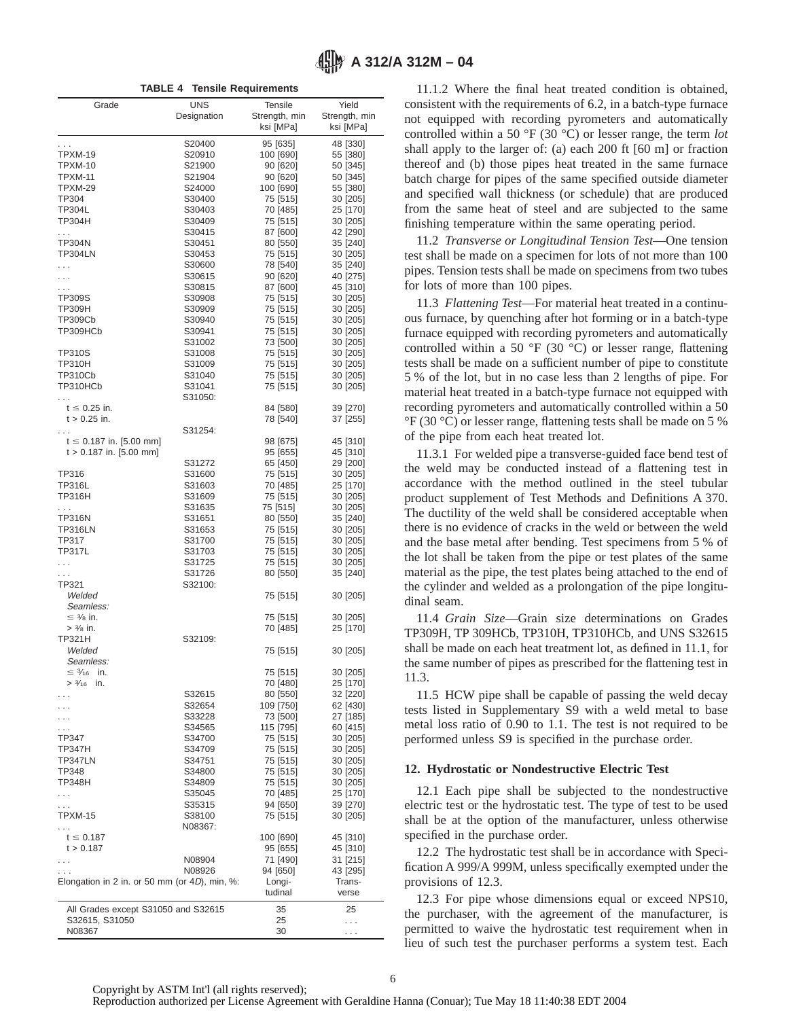**TABLE 4 Tensile Requirements**

| Grade                                            | <b>UNS</b>       | <b>Tensile</b>        | Yield                |
|--------------------------------------------------|------------------|-----------------------|----------------------|
|                                                  | Designation      | Strength, min         | Strength, min        |
|                                                  |                  | ksi [MPa]             | ksi [MPa]            |
| .                                                | S20400           | 95 [635]              | 48 [330]             |
| TPXM-19                                          | S20910           | 100 [690]             | 55 [380]             |
| TPXM-10                                          | S21900           | 90 [620]              | 50 [345]             |
| <b>TPXM-11</b>                                   | S21904           | 90 [620]              | 50 [345]             |
| TPXM-29                                          | S24000           | 100 [690]             | 55 [380]             |
| TP304                                            | S30400           | 75 [515]              | 30 [205]             |
| TP304L                                           | S30403           | 70 [485]              | 25 [170]             |
| TP304H                                           | S30409           | 75 [515]              | 30 [205]             |
| $\ldots$                                         | S30415           | 87 [600]              | 42 [290]             |
| <b>TP304N</b><br><b>TP304LN</b>                  | S30451<br>S30453 | 80 [550]<br>75 [515]  | 35 [240]<br>30 [205] |
|                                                  | S30600           | 78 [540]              | 35 [240]             |
| .<br>.                                           | S30615           | 90 [620]              | 40 [275]             |
| .                                                | S30815           | 87 [600]              | 45 [310]             |
| TP309S                                           | S30908           | 75 [515]              | 30 [205]             |
| TP309H                                           | S30909           | 75 [515]              | 30 [205]             |
| TP309Cb                                          | S30940           | 75 [515]              | 30 [205]             |
| TP309HCb                                         | S30941           | 75 [515]              | 30 [205]             |
|                                                  | S31002           | 73 [500]              | 30 [205]             |
| TP310S                                           | S31008           | 75 [515]              | 30 [205]             |
| <b>TP310H</b>                                    | S31009           | 75 [515]              | 30 [205]             |
| TP310Cb                                          | S31040           | 75 [515]              | 30 [205]             |
| TP310HCb                                         | S31041           | 75 [515]              | 30 [205]             |
|                                                  | S31050:          |                       |                      |
| $t \leq 0.25$ in.                                |                  | 84 [580]              | 39 [270]             |
| $t > 0.25$ in.                                   |                  | 78 [540]              | 37 [255]             |
|                                                  | S31254:          |                       |                      |
| $t \leq 0.187$ in. [5.00 mm]                     |                  | 98 [675]              | 45 [310]             |
| $t > 0.187$ in. [5.00 mm]                        |                  | 95 [655]              | 45 [310]             |
|                                                  | S31272           | 65 [450]              | 29 [200]             |
| TP316                                            | S31600           | 75 [515]              | 30 [205]             |
| <b>TP316L</b><br><b>TP316H</b>                   | S31603           | 70 [485]              | 25 [170]             |
|                                                  | S31609<br>S31635 | 75 [515]              | 30 [205]             |
| .<br><b>TP316N</b>                               | S31651           | 75 [515]<br>80 [550]  | 30 [205]<br>35 [240] |
| <b>TP316LN</b>                                   | S31653           | 75 [515]              | 30 [205]             |
| TP317                                            | S31700           | 75 [515]              | 30 [205]             |
| <b>TP317L</b>                                    | S31703           | 75 [515]              | 30 [205]             |
| $\cdots$                                         | S31725           | 75 [515]              | 30 [205]             |
| .                                                | S31726           | 80 [550]              | 35 [240]             |
| TP321                                            | S32100:          |                       |                      |
| Welded                                           |                  | 75 [515]              | 30 [205]             |
| Seamless:                                        |                  |                       |                      |
| $\leq$ 3/8 in.                                   |                  | 75 [515]              | 30 [205]             |
| $> 3/8$ in.                                      |                  | 70 [485]              | 25 [170]             |
| TP321H                                           | S32109:          |                       |                      |
| Welded                                           |                  | 75 [515]              | 30 [205]             |
| Seamless:                                        |                  |                       |                      |
| $\leq$ 3/ <sub>16</sub> in.                      |                  | 75 [515]              | 30 [205]             |
| $> \frac{3}{16}$ in.                             |                  | 70 [480]              | 25 [170]             |
|                                                  | S32615           | 80 [550]              | 32 [220]             |
|                                                  | S32654<br>S33228 | 109 [750]<br>73 [500] | 62 [430]             |
|                                                  |                  |                       | 27 [185]             |
| TP347                                            | S34565<br>S34700 | 115 [795]<br>75 [515] | 60 [415]<br>30 [205] |
| TP347H                                           | S34709           | 75 [515]              | 30 [205]             |
| TP347LN                                          | S34751           | 75 [515]              | 30 [205]             |
| TP348                                            | S34800           | 75 [515]              | 30 [205]             |
| TP348H                                           | S34809           | 75 [515]              | 30 [205]             |
| .                                                | S35045           | 70 [485]              | 25 [170]             |
| .                                                | S35315           | 94 [650]              | 39 [270]             |
| TPXM-15                                          | S38100           | 75 [515]              | 30 [205]             |
| .                                                | N08367:          |                       |                      |
| $t \le 0.187$                                    |                  | 100 [690]             | 45 [310]             |
| t > 0.187                                        |                  | 95 [655]              | 45 [310]             |
|                                                  | N08904           | 71 [490]              | 31 [215]             |
|                                                  | N08926           | 94 [650]              | 43 [295]             |
| Elongation in 2 in. or 50 mm (or $4D$ ), min, %: |                  | Longi-                | Trans-               |
|                                                  |                  | tudinal               | verse                |
| All Grades except S31050 and S32615              |                  | 35                    | 25                   |
| S32615, S31050                                   |                  | 25                    | .                    |
| N08367                                           |                  | 30                    | .                    |

11.1.2 Where the final heat treated condition is obtained, consistent with the requirements of 6.2, in a batch-type furnace not equipped with recording pyrometers and automatically controlled within a 50 °F (30 °C) or lesser range, the term *lot* shall apply to the larger of: (a) each 200 ft [60 m] or fraction thereof and (b) those pipes heat treated in the same furnace batch charge for pipes of the same specified outside diameter and specified wall thickness (or schedule) that are produced from the same heat of steel and are subjected to the same finishing temperature within the same operating period.

11.2 *Transverse or Longitudinal Tension Test*—One tension test shall be made on a specimen for lots of not more than 100 pipes. Tension tests shall be made on specimens from two tubes for lots of more than 100 pipes.

11.3 *Flattening Test*—For material heat treated in a continuous furnace, by quenching after hot forming or in a batch-type furnace equipped with recording pyrometers and automatically controlled within a 50  $\mathrm{^{\circ}F}$  (30  $\mathrm{^{\circ}C}$ ) or lesser range, flattening tests shall be made on a sufficient number of pipe to constitute 5 % of the lot, but in no case less than 2 lengths of pipe. For material heat treated in a batch-type furnace not equipped with recording pyrometers and automatically controlled within a 50 °F (30 °C) or lesser range, flattening tests shall be made on 5 % of the pipe from each heat treated lot.

11.3.1 For welded pipe a transverse-guided face bend test of the weld may be conducted instead of a flattening test in accordance with the method outlined in the steel tubular product supplement of Test Methods and Definitions A 370. The ductility of the weld shall be considered acceptable when there is no evidence of cracks in the weld or between the weld and the base metal after bending. Test specimens from 5 % of the lot shall be taken from the pipe or test plates of the same material as the pipe, the test plates being attached to the end of the cylinder and welded as a prolongation of the pipe longitudinal seam.

11.4 *Grain Size*—Grain size determinations on Grades TP309H, TP 309HCb, TP310H, TP310HCb, and UNS S32615 shall be made on each heat treatment lot, as defined in 11.1, for the same number of pipes as prescribed for the flattening test in 11.3.

11.5 HCW pipe shall be capable of passing the weld decay tests listed in Supplementary S9 with a weld metal to base metal loss ratio of 0.90 to 1.1. The test is not required to be performed unless S9 is specified in the purchase order.

#### **12. Hydrostatic or Nondestructive Electric Test**

12.1 Each pipe shall be subjected to the nondestructive electric test or the hydrostatic test. The type of test to be used shall be at the option of the manufacturer, unless otherwise specified in the purchase order.

12.2 The hydrostatic test shall be in accordance with Specification A 999/A 999M, unless specifically exempted under the provisions of 12.3.

12.3 For pipe whose dimensions equal or exceed NPS10, the purchaser, with the agreement of the manufacturer, is permitted to waive the hydrostatic test requirement when in lieu of such test the purchaser performs a system test. Each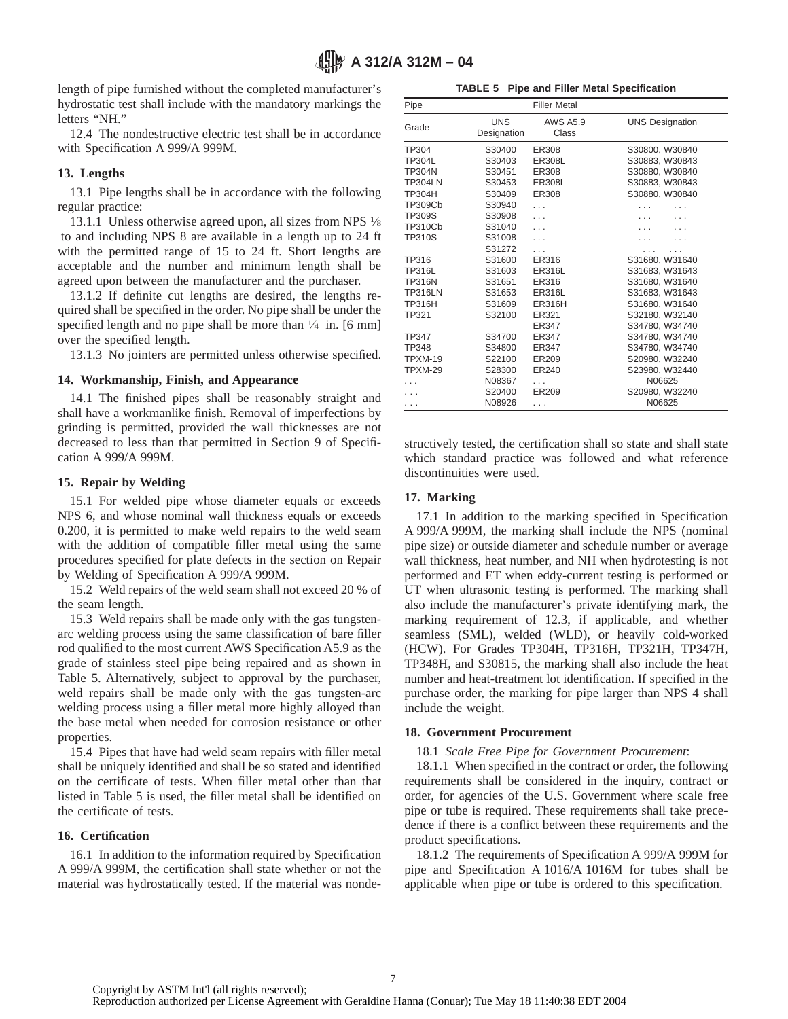length of pipe furnished without the completed manufacturer's hydrostatic test shall include with the mandatory markings the letters "NH."

12.4 The nondestructive electric test shall be in accordance with Specification A 999/A 999M.

#### **13. Lengths**

13.1 Pipe lengths shall be in accordance with the following regular practice:

13.1.1 Unless otherwise agreed upon, all sizes from NPS  $\frac{1}{8}$ to and including NPS 8 are available in a length up to 24 ft with the permitted range of 15 to 24 ft. Short lengths are acceptable and the number and minimum length shall be agreed upon between the manufacturer and the purchaser.

13.1.2 If definite cut lengths are desired, the lengths required shall be specified in the order. No pipe shall be under the specified length and no pipe shall be more than  $\frac{1}{4}$  in. [6 mm] over the specified length.

13.1.3 No jointers are permitted unless otherwise specified.

#### **14. Workmanship, Finish, and Appearance**

14.1 The finished pipes shall be reasonably straight and shall have a workmanlike finish. Removal of imperfections by grinding is permitted, provided the wall thicknesses are not decreased to less than that permitted in Section 9 of Specification A 999/A 999M.

#### **15. Repair by Welding**

15.1 For welded pipe whose diameter equals or exceeds NPS 6, and whose nominal wall thickness equals or exceeds 0.200, it is permitted to make weld repairs to the weld seam with the addition of compatible filler metal using the same procedures specified for plate defects in the section on Repair by Welding of Specification A 999/A 999M.

15.2 Weld repairs of the weld seam shall not exceed 20 % of the seam length.

15.3 Weld repairs shall be made only with the gas tungstenarc welding process using the same classification of bare filler rod qualified to the most current AWS Specification A5.9 as the grade of stainless steel pipe being repaired and as shown in Table 5. Alternatively, subject to approval by the purchaser, weld repairs shall be made only with the gas tungsten-arc welding process using a filler metal more highly alloyed than the base metal when needed for corrosion resistance or other properties.

15.4 Pipes that have had weld seam repairs with filler metal shall be uniquely identified and shall be so stated and identified on the certificate of tests. When filler metal other than that listed in Table 5 is used, the filler metal shall be identified on the certificate of tests.

#### **16. Certification**

16.1 In addition to the information required by Specification A 999/A 999M, the certification shall state whether or not the material was hydrostatically tested. If the material was nonde-

**TABLE 5 Pipe and Filler Metal Specification**

| Pipe           |                           | <b>Filler Metal</b> |                        |
|----------------|---------------------------|---------------------|------------------------|
| Grade          | <b>UNS</b><br>Designation | AWS A5.9<br>Class   | <b>UNS Designation</b> |
| TP304          | S30400                    | ER308               | S30800, W30840         |
| TP304L         | S30403                    | <b>ER308L</b>       | S30883, W30843         |
| <b>TP304N</b>  | S30451                    | <b>ER308</b>        | S30880, W30840         |
| <b>TP304LN</b> | S30453                    | ER308L              | S30883, W30843         |
| <b>TP304H</b>  | S30409                    | <b>ER308</b>        | S30880, W30840         |
| <b>TP309Cb</b> | S30940                    | $\cdots$            |                        |
| <b>TP309S</b>  | S30908                    | $\cdots$            | .                      |
| <b>TP310Cb</b> | S31040                    | .                   |                        |
| <b>TP310S</b>  | S31008                    | .                   |                        |
|                | S31272                    | .                   |                        |
| TP316          | S31600                    | ER316               | S31680, W31640         |
| <b>TP316L</b>  | S31603                    | <b>ER316L</b>       | S31683, W31643         |
| <b>TP316N</b>  | S31651                    | ER316               | S31680, W31640         |
| <b>TP316LN</b> | S31653                    | <b>ER316L</b>       | S31683, W31643         |
| <b>TP316H</b>  | S31609                    | <b>ER316H</b>       | S31680, W31640         |
| TP321          | S32100                    | ER321               | S32180, W32140         |
|                |                           | ER347               | S34780, W34740         |
| TP347          | S34700                    | ER347               | S34780, W34740         |
| <b>TP348</b>   | S34800                    | <b>ER347</b>        | S34780, W34740         |
| <b>TPXM-19</b> | S22100                    | ER209               | S20980, W32240         |
| <b>TPXM-29</b> | S28300                    | ER240               | S23980, W32440         |
|                | N08367                    | $\cdots$            | N06625                 |
|                | S20400                    | ER209               | S20980, W32240         |
| .              | N08926                    | .                   | N06625                 |

structively tested, the certification shall so state and shall state which standard practice was followed and what reference discontinuities were used.

#### **17. Marking**

17.1 In addition to the marking specified in Specification A 999/A 999M, the marking shall include the NPS (nominal pipe size) or outside diameter and schedule number or average wall thickness, heat number, and NH when hydrotesting is not performed and ET when eddy-current testing is performed or UT when ultrasonic testing is performed. The marking shall also include the manufacturer's private identifying mark, the marking requirement of 12.3, if applicable, and whether seamless (SML), welded (WLD), or heavily cold-worked (HCW). For Grades TP304H, TP316H, TP321H, TP347H, TP348H, and S30815, the marking shall also include the heat number and heat-treatment lot identification. If specified in the purchase order, the marking for pipe larger than NPS 4 shall include the weight.

#### **18. Government Procurement**

18.1 *Scale Free Pipe for Government Procurement*:

18.1.1 When specified in the contract or order, the following requirements shall be considered in the inquiry, contract or order, for agencies of the U.S. Government where scale free pipe or tube is required. These requirements shall take precedence if there is a conflict between these requirements and the product specifications.

18.1.2 The requirements of Specification A 999/A 999M for pipe and Specification A 1016/A 1016M for tubes shall be applicable when pipe or tube is ordered to this specification.

Copyright by ASTM Int'l (all rights reserved);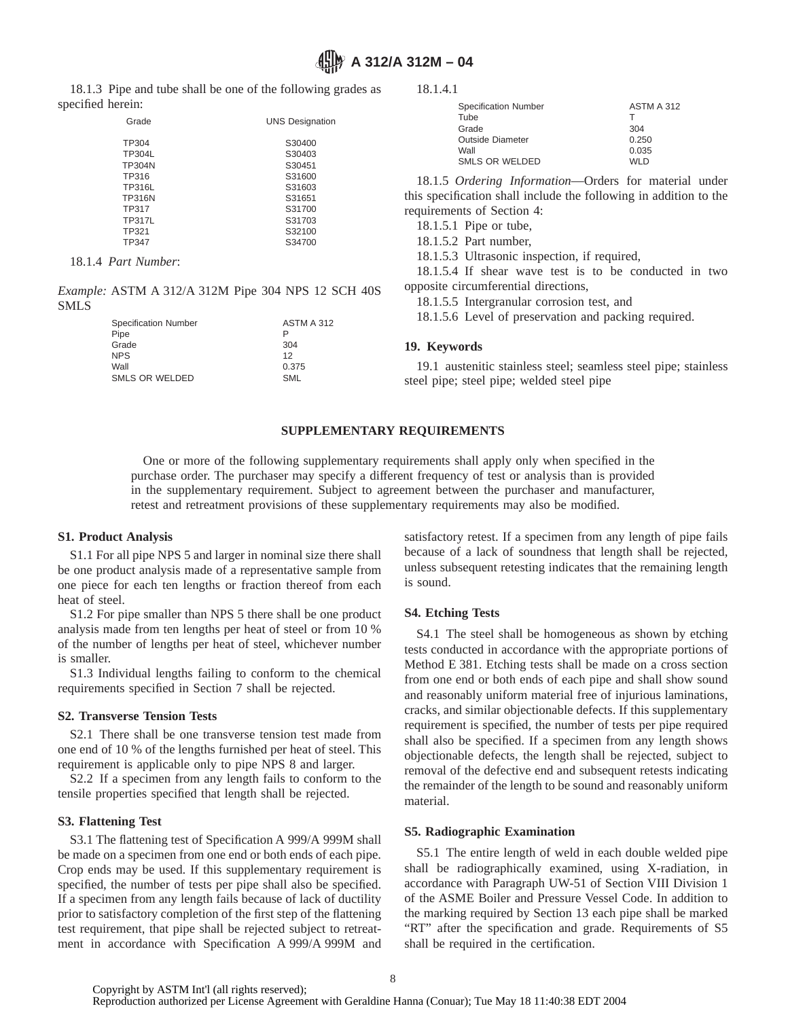## **A 312/A 312M – 04**

18.1.4.1

Outside Diameter

opposite circumferential directions,

requirements of Section 4: 18.1.5.1 Pipe or tube, 18.1.5.2 Part number,

18.1.3 Pipe and tube shall be one of the following grades as specified herein:

| Grade         | <b>UNS Designation</b> |
|---------------|------------------------|
| TP304         | S30400                 |
| <b>TP304L</b> | S30403                 |
| <b>TP304N</b> | S30451                 |
| TP316         | S31600                 |
| <b>TP316L</b> | S31603                 |
| <b>TP316N</b> | S31651                 |
| <b>TP317</b>  | S31700                 |
| <b>TP317L</b> | S31703                 |
| TP321         | S32100                 |
| TP347         | S34700                 |

18.1.4 *Part Number*:

*Example:* ASTM A 312/A 312M Pipe 304 NPS 12 SCH 40S SMLS

|                      | $1.40$ $1.11$ $1.1$ $0.1$ $1.1$ $0.1$ $1.11$ $0.1$ $0.1$ $0.1$ $0.1$ $0.0$ $0.1$ $0.0$ | 18.1.5.5 Intergranular corrosion test, and                      |
|----------------------|----------------------------------------------------------------------------------------|-----------------------------------------------------------------|
| Specification Number | ASTM A 312                                                                             | 18.1.5.6 Level of preservation and packing required.            |
| Pipe                 |                                                                                        |                                                                 |
| Grade                | 304                                                                                    | 19. Keywords                                                    |
| <b>NPS</b>           | 12                                                                                     |                                                                 |
| Wall                 | 0.375                                                                                  | 19.1 austenitic stainless steel; seamless steel pipe; stainless |
| SMLS OR WELDED       | SML                                                                                    | steel pipe; steel pipe; welded steel pipe                       |

#### **SUPPLEMENTARY REQUIREMENTS**

One or more of the following supplementary requirements shall apply only when specified in the purchase order. The purchaser may specify a different frequency of test or analysis than is provided in the supplementary requirement. Subject to agreement between the purchaser and manufacturer, retest and retreatment provisions of these supplementary requirements may also be modified.

#### **S1. Product Analysis**

S1.1 For all pipe NPS 5 and larger in nominal size there shall be one product analysis made of a representative sample from one piece for each ten lengths or fraction thereof from each heat of steel.

S1.2 For pipe smaller than NPS 5 there shall be one product analysis made from ten lengths per heat of steel or from 10 % of the number of lengths per heat of steel, whichever number is smaller.

S1.3 Individual lengths failing to conform to the chemical requirements specified in Section 7 shall be rejected.

#### **S2. Transverse Tension Tests**

S2.1 There shall be one transverse tension test made from one end of 10 % of the lengths furnished per heat of steel. This requirement is applicable only to pipe NPS 8 and larger.

S2.2 If a specimen from any length fails to conform to the tensile properties specified that length shall be rejected.

#### **S3. Flattening Test**

S3.1 The flattening test of Specification A 999/A 999M shall be made on a specimen from one end or both ends of each pipe. Crop ends may be used. If this supplementary requirement is specified, the number of tests per pipe shall also be specified. If a specimen from any length fails because of lack of ductility prior to satisfactory completion of the first step of the flattening test requirement, that pipe shall be rejected subject to retreatment in accordance with Specification A 999/A 999M and satisfactory retest. If a specimen from any length of pipe fails because of a lack of soundness that length shall be rejected, unless subsequent retesting indicates that the remaining length is sound.

Specification Number ASTM A 312 Tube T Grade 304<br>Outside Diameter 6 (250)<br>0.250

18.1.5 *Ordering Information*—Orders for material under this specification shall include the following in addition to the

18.1.5.4 If shear wave test is to be conducted in two

Wall 0.035 SMLS OR WELDED WLD

18.1.5.3 Ultrasonic inspection, if required,

#### **S4. Etching Tests**

S4.1 The steel shall be homogeneous as shown by etching tests conducted in accordance with the appropriate portions of Method E 381. Etching tests shall be made on a cross section from one end or both ends of each pipe and shall show sound and reasonably uniform material free of injurious laminations, cracks, and similar objectionable defects. If this supplementary requirement is specified, the number of tests per pipe required shall also be specified. If a specimen from any length shows objectionable defects, the length shall be rejected, subject to removal of the defective end and subsequent retests indicating the remainder of the length to be sound and reasonably uniform material.

#### **S5. Radiographic Examination**

S5.1 The entire length of weld in each double welded pipe shall be radiographically examined, using X-radiation, in accordance with Paragraph UW-51 of Section VIII Division 1 of the ASME Boiler and Pressure Vessel Code. In addition to the marking required by Section 13 each pipe shall be marked "RT" after the specification and grade. Requirements of S5 shall be required in the certification.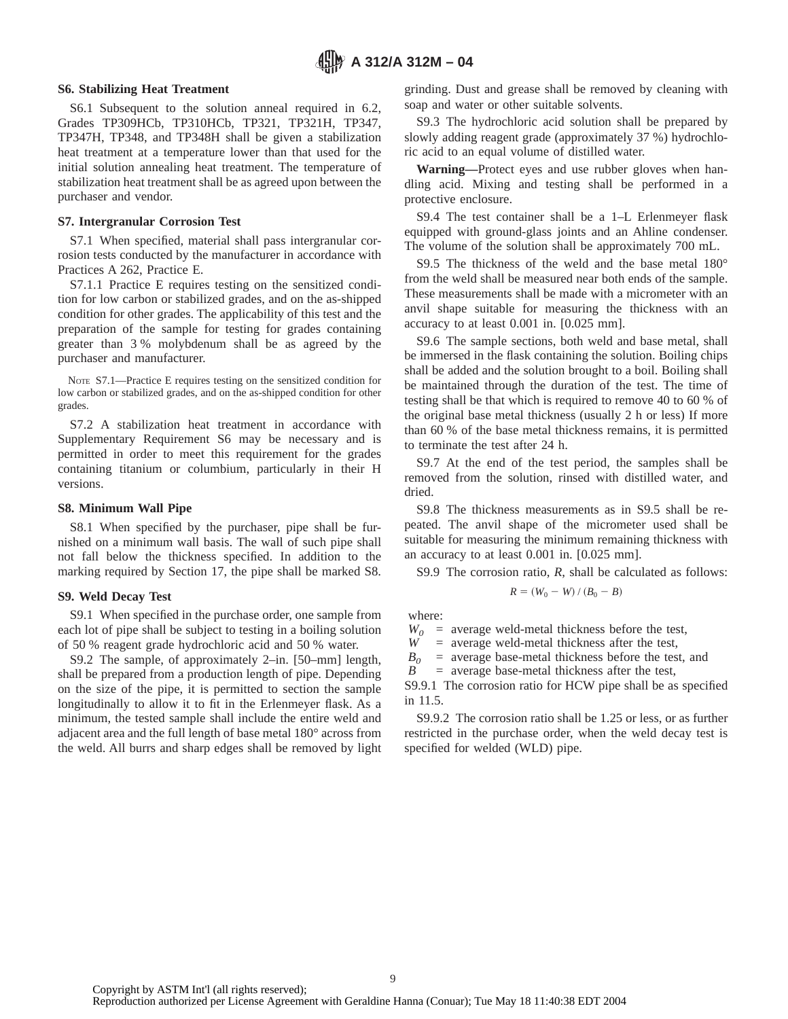#### **S6. Stabilizing Heat Treatment**

S6.1 Subsequent to the solution anneal required in 6.2, Grades TP309HCb, TP310HCb, TP321, TP321H, TP347, TP347H, TP348, and TP348H shall be given a stabilization heat treatment at a temperature lower than that used for the initial solution annealing heat treatment. The temperature of stabilization heat treatment shall be as agreed upon between the purchaser and vendor.

#### **S7. Intergranular Corrosion Test**

S7.1 When specified, material shall pass intergranular corrosion tests conducted by the manufacturer in accordance with Practices A 262, Practice E.

S7.1.1 Practice E requires testing on the sensitized condition for low carbon or stabilized grades, and on the as-shipped condition for other grades. The applicability of this test and the preparation of the sample for testing for grades containing greater than 3 % molybdenum shall be as agreed by the purchaser and manufacturer.

NOTE S7.1—Practice E requires testing on the sensitized condition for low carbon or stabilized grades, and on the as-shipped condition for other grades.

S7.2 A stabilization heat treatment in accordance with Supplementary Requirement S6 may be necessary and is permitted in order to meet this requirement for the grades containing titanium or columbium, particularly in their H versions.

#### **S8. Minimum Wall Pipe**

S8.1 When specified by the purchaser, pipe shall be furnished on a minimum wall basis. The wall of such pipe shall not fall below the thickness specified. In addition to the marking required by Section 17, the pipe shall be marked S8.

#### **S9. Weld Decay Test**

S9.1 When specified in the purchase order, one sample from each lot of pipe shall be subject to testing in a boiling solution of 50 % reagent grade hydrochloric acid and 50 % water.

S9.2 The sample, of approximately 2–in. [50–mm] length, shall be prepared from a production length of pipe. Depending on the size of the pipe, it is permitted to section the sample longitudinally to allow it to fit in the Erlenmeyer flask. As a minimum, the tested sample shall include the entire weld and adjacent area and the full length of base metal 180° across from the weld. All burrs and sharp edges shall be removed by light grinding. Dust and grease shall be removed by cleaning with soap and water or other suitable solvents.

S9.3 The hydrochloric acid solution shall be prepared by slowly adding reagent grade (approximately 37 %) hydrochloric acid to an equal volume of distilled water.

**Warning—**Protect eyes and use rubber gloves when handling acid. Mixing and testing shall be performed in a protective enclosure.

S9.4 The test container shall be a 1–L Erlenmeyer flask equipped with ground-glass joints and an Ahline condenser. The volume of the solution shall be approximately 700 mL.

S9.5 The thickness of the weld and the base metal 180° from the weld shall be measured near both ends of the sample. These measurements shall be made with a micrometer with an anvil shape suitable for measuring the thickness with an accuracy to at least 0.001 in. [0.025 mm].

S9.6 The sample sections, both weld and base metal, shall be immersed in the flask containing the solution. Boiling chips shall be added and the solution brought to a boil. Boiling shall be maintained through the duration of the test. The time of testing shall be that which is required to remove 40 to 60 % of the original base metal thickness (usually 2 h or less) If more than 60 % of the base metal thickness remains, it is permitted to terminate the test after 24 h.

S9.7 At the end of the test period, the samples shall be removed from the solution, rinsed with distilled water, and dried.

S9.8 The thickness measurements as in S9.5 shall be repeated. The anvil shape of the micrometer used shall be suitable for measuring the minimum remaining thickness with an accuracy to at least 0.001 in. [0.025 mm].

S9.9 The corrosion ratio, *R*, shall be calculated as follows:

$$
R = (W_0 - W) / (B_0 - B)
$$

where:

 $W_0$  = average weld-metal thickness before the test,

 $W =$  average weld-metal thickness after the test,

 $B_0$  = average base-metal thickness before the test, and  $B$  = average base-metal thickness after the test,

= average base-metal thickness after the test,

S9.9.1 The corrosion ratio for HCW pipe shall be as specified in 11.5.

S9.9.2 The corrosion ratio shall be 1.25 or less, or as further restricted in the purchase order, when the weld decay test is specified for welded (WLD) pipe.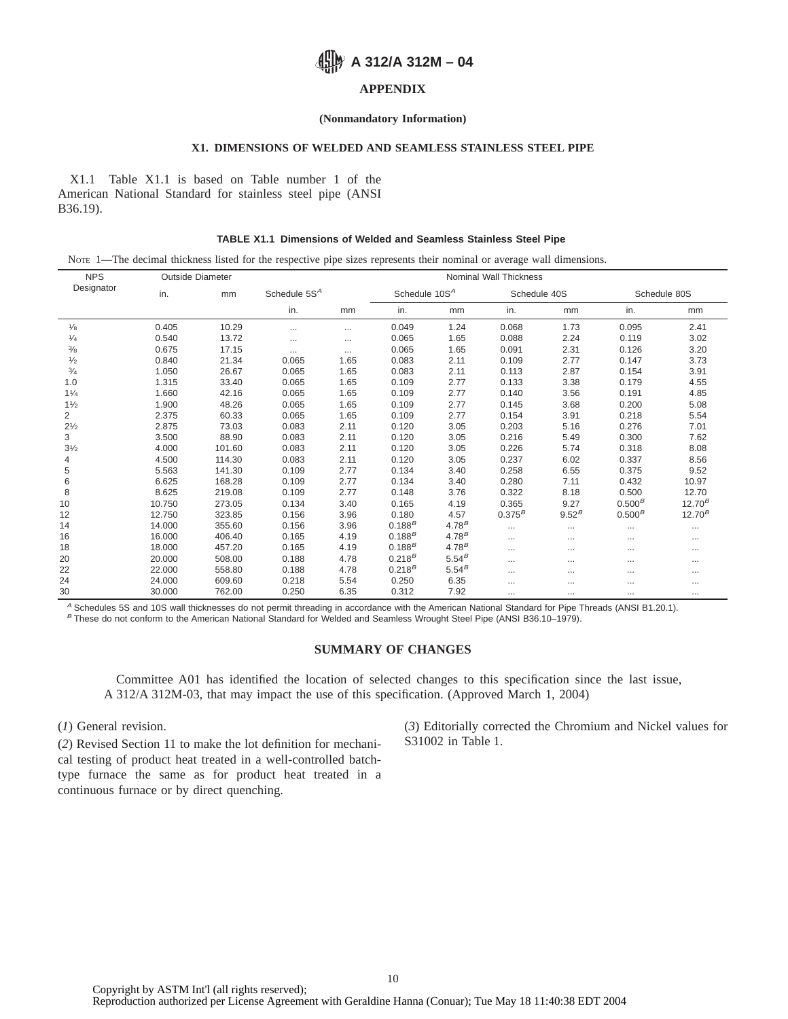## **A 312/A 312M - 04**

#### **APPENDIX**

#### **(Nonmandatory Information)**

#### **X1. DIMENSIONS OF WELDED AND SEAMLESS STAINLESS STEEL PIPE**

X1.1 Table X1.1 is based on Table number 1 of the American National Standard for stainless steel pipe (ANSI B36.19).

#### **TABLE X1.1 Dimensions of Welded and Seamless Stainless Steel Pipe**

NOTE 1—The decimal thickness listed for the respective pipe sizes represents their nominal or average wall dimensions.

| <b>NPS</b>     | <b>Outside Diameter</b> |        | Nominal Wall Thickness |          |                           |            |              |            |              |             |  |  |
|----------------|-------------------------|--------|------------------------|----------|---------------------------|------------|--------------|------------|--------------|-------------|--|--|
| Designator     | in.                     | mm     | Schedule $5SA$         |          | Schedule 10S <sup>A</sup> |            | Schedule 40S |            | Schedule 80S |             |  |  |
|                |                         |        | in.                    | mm       | in.                       | mm         | in.          | mm         | in.          | mm          |  |  |
| $\frac{1}{8}$  | 0.405                   | 10.29  | $\cdots$               | $\cdots$ | 0.049                     | 1.24       | 0.068        | 1.73       | 0.095        | 2.41        |  |  |
| $\frac{1}{4}$  | 0.540                   | 13.72  | $\cdots$               | $\cdots$ | 0.065                     | 1.65       | 0.088        | 2.24       | 0.119        | 3.02        |  |  |
| $\frac{3}{8}$  | 0.675                   | 17.15  | $\cdots$               | $\cdots$ | 0.065                     | 1.65       | 0.091        | 2.31       | 0.126        | 3.20        |  |  |
| 1/2            | 0.840                   | 21.34  | 0.065                  | 1.65     | 0.083                     | 2.11       | 0.109        | 2.77       | 0.147        | 3.73        |  |  |
| $\frac{3}{4}$  | 1.050                   | 26.67  | 0.065                  | 1.65     | 0.083                     | 2.11       | 0.113        | 2.87       | 0.154        | 3.91        |  |  |
| 1.0            | 1.315                   | 33.40  | 0.065                  | 1.65     | 0.109                     | 2.77       | 0.133        | 3.38       | 0.179        | 4.55        |  |  |
| 11/4           | 1.660                   | 42.16  | 0.065                  | 1.65     | 0.109                     | 2.77       | 0.140        | 3.56       | 0.191        | 4.85        |  |  |
| 11/2           | 1.900                   | 48.26  | 0.065                  | 1.65     | 0.109                     | 2.77       | 0.145        | 3.68       | 0.200        | 5.08        |  |  |
| 2              | 2.375                   | 60.33  | 0.065                  | 1.65     | 0.109                     | 2.77       | 0.154        | 3.91       | 0.218        | 5.54        |  |  |
| $2^{1/2}$      | 2.875                   | 73.03  | 0.083                  | 2.11     | 0.120                     | 3.05       | 0.203        | 5.16       | 0.276        | 7.01        |  |  |
| 3              | 3.500                   | 88.90  | 0.083                  | 2.11     | 0.120                     | 3.05       | 0.216        | 5.49       | 0.300        | 7.62        |  |  |
| $3\frac{1}{2}$ | 4.000                   | 101.60 | 0.083                  | 2.11     | 0.120                     | 3.05       | 0.226        | 5.74       | 0.318        | 8.08        |  |  |
| 4              | 4.500                   | 114.30 | 0.083                  | 2.11     | 0.120                     | 3.05       | 0.237        | 6.02       | 0.337        | 8.56        |  |  |
| 5              | 5.563                   | 141.30 | 0.109                  | 2.77     | 0.134                     | 3.40       | 0.258        | 6.55       | 0.375        | 9.52        |  |  |
| 6              | 6.625                   | 168.28 | 0.109                  | 2.77     | 0.134                     | 3.40       | 0.280        | 7.11       | 0.432        | 10.97       |  |  |
| 8              | 8.625                   | 219.08 | 0.109                  | 2.77     | 0.148                     | 3.76       | 0.322        | 8.18       | 0.500        | 12.70       |  |  |
| 10             | 10.750                  | 273.05 | 0.134                  | 3.40     | 0.165                     | 4.19       | 0.365        | 9.27       | $0.500^{B}$  | $12.70^{B}$ |  |  |
| 12             | 12.750                  | 323.85 | 0.156                  | 3.96     | 0.180                     | 4.57       | $0.375^{B}$  | $9.52^{B}$ | $0.500^{B}$  | $12.70^{B}$ |  |  |
| 14             | 14.000                  | 355.60 | 0.156                  | 3.96     | $0.188^{B}$               | $4.78^{B}$ | $\cdots$     | $\cdots$   | $\cdots$     |             |  |  |
| 16             | 16.000                  | 406.40 | 0.165                  | 4.19     | $0.188^{B}$               | $4.78^{B}$ | $\cdots$     | $\cdots$   | $\cdots$     |             |  |  |
| 18             | 18.000                  | 457.20 | 0.165                  | 4.19     | $0.188^{B}$               | $4.78^{B}$ | $\cdots$     | $\cdots$   | $\cdots$     |             |  |  |
| 20             | 20.000                  | 508.00 | 0.188                  | 4.78     | $0.218^{B}$               | $5.54^{B}$ |              |            | $\cdots$     | $\cdots$    |  |  |
| 22             | 22.000                  | 558.80 | 0.188                  | 4.78     | $0.218^{B}$               | $5.54^{B}$ | $\cdots$     | $\cdots$   | $\cdots$     |             |  |  |
| 24             | 24.000                  | 609.60 | 0.218                  | 5.54     | 0.250                     | 6.35       |              |            | $\cdots$     | $\cdots$    |  |  |
| 30             | 30.000                  | 762.00 | 0.250                  | 6.35     | 0.312                     | 7.92       | $\cdots$     | $\cdots$   | $\cdots$     |             |  |  |

<sup>A</sup> Schedules 5S and 10S wall thicknesses do not permit threading in accordance with the American National Standard for Pipe Threads (ANSI B1.20.1).  $B$  These do not conform to the American National Standard for Welded and Seamless Wrought Steel Pipe (ANSI B36.10–1979).

#### **SUMMARY OF CHANGES**

Committee A01 has identified the location of selected changes to this specification since the last issue, A 312/A 312M-03, that may impact the use of this specification. (Approved March 1, 2004)

(*1*) General revision.

(*2*) Revised Section 11 to make the lot definition for mechanical testing of product heat treated in a well-controlled batchtype furnace the same as for product heat treated in a continuous furnace or by direct quenching.

(*3*) Editorially corrected the Chromium and Nickel values for S31002 in Table 1.